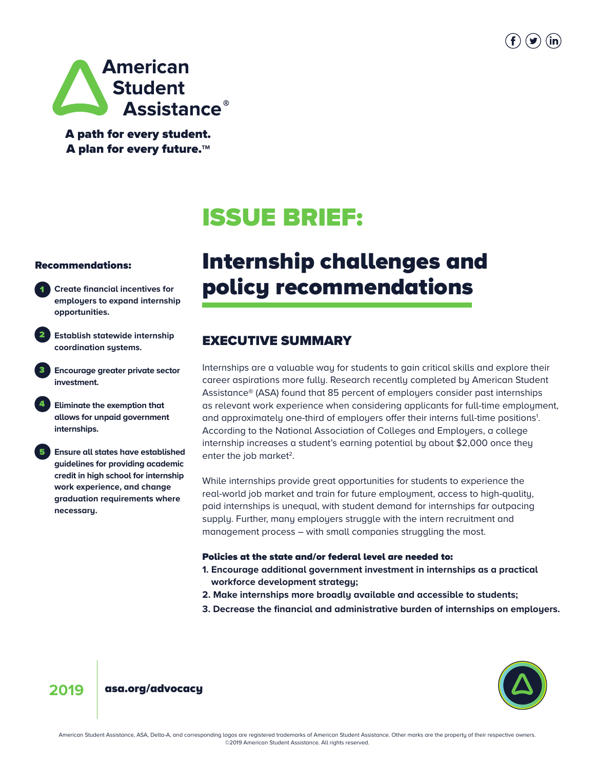



A path for every student. A plan for every future.**TM**

# ISSUE BRIEF:

#### Recommendations:

- **Create financial incentives for employers to expand internship opportunities.** 1
- **Establish statewide internship coordination systems.** 2
- **Encourage greater private sector investment.** 3
- **Eliminate the exemption that allows for unpaid government internships.** 4
- **Ensure all states have established guidelines for providing academic credit in high school for internship work experience, and change graduation requirements where necessary.**  5

## Internship challenges and policy recommendations

## EXECUTIVE SUMMARY

Internships are a valuable way for students to gain critical skills and explore their career aspirations more fully. Research recently completed by American Student Assistance® (ASA) found that 85 percent of employers consider past internships as relevant work experience when considering applicants for full-time employment, and approximately one-third of employers offer their interns full-time positions<sup>1</sup>. According to the National Association of Colleges and Employers, a college internship increases a student's earning potential by about \$2,000 once they enter the job market<sup>2</sup>.

While internships provide great opportunities for students to experience the real-world job market and train for future employment, access to high-quality, paid internships is unequal, with student demand for internships far outpacing supply. Further, many employers struggle with the intern recruitment and management process – with small companies struggling the most.

#### Policies at the state and/or federal level are needed to:

- **1. Encourage additional government investment in internships as a practical workforce development strategy;**
- **2. Make internships more broadly available and accessible to students;**
- **3. Decrease the financial and administrative burden of internships on employers.**



#### **2019** [asa.org/advocacy](www.asa.org/advocacy)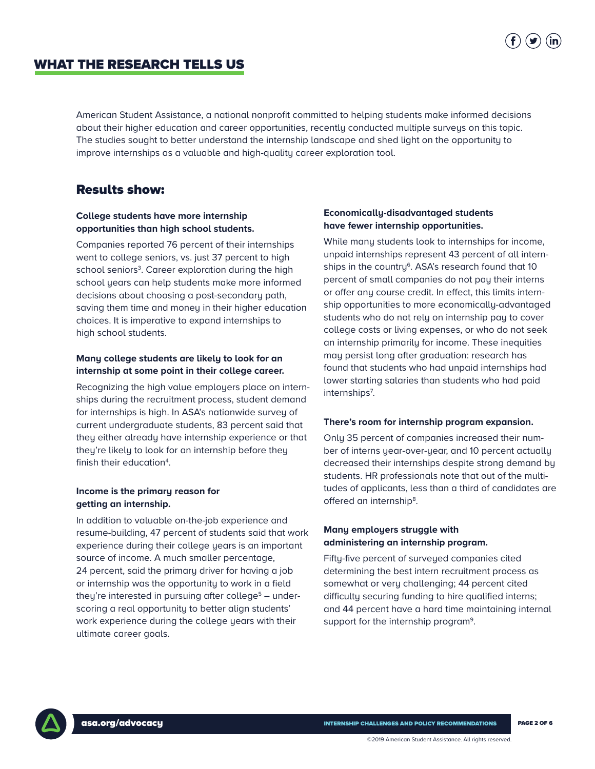## WHAT THE RESEARCH TELLS US

American Student Assistance, a national nonprofit committed to helping students make informed decisions about their higher education and career opportunities, recently conducted multiple surveys on this topic. The studies sought to better understand the internship landscape and shed light on the opportunity to improve internships as a valuable and high-quality career exploration tool.

### Results show:

#### **College students have more internship opportunities than high school students.**

Companies reported 76 percent of their internships went to college seniors, vs. just 37 percent to high school seniors<sup>3</sup>. Career exploration during the high school years can help students make more informed decisions about choosing a post-secondary path, saving them time and money in their higher education choices. It is imperative to expand internships to high school students.

#### **Many college students are likely to look for an internship at some point in their college career.**

Recognizing the high value employers place on internships during the recruitment process, student demand for internships is high. In ASA's nationwide survey of current undergraduate students, 83 percent said that they either already have internship experience or that they're likely to look for an internship before they finish their education<sup>4</sup>.

#### **Income is the primary reason for getting an internship.**

In addition to valuable on-the-job experience and resume-building, 47 percent of students said that work experience during their college years is an important source of income. A much smaller percentage, 24 percent, said the primary driver for having a job or internship was the opportunity to work in a field they're interested in pursuing after college<sup>5</sup> – underscoring a real opportunity to better align students' work experience during the college years with their ultimate career goals.

#### **Economically-disadvantaged students have fewer internship opportunities.**

While many students look to internships for income, unpaid internships represent 43 percent of all internships in the country<sup>6</sup>. ASA's research found that 10 percent of small companies do not pay their interns or offer any course credit. In effect, this limits internship opportunities to more economically-advantaged students who do not rely on internship pay to cover college costs or living expenses, or who do not seek an internship primarily for income. These inequities may persist long after graduation: research has found that students who had unpaid internships had lower starting salaries than students who had paid internships<sup>7</sup>.

#### **There's room for internship program expansion.**

Only 35 percent of companies increased their number of interns year-over-year, and 10 percent actually decreased their internships despite strong demand by students. HR professionals note that out of the multitudes of applicants, less than a third of candidates are offered an internship<sup>8</sup>.

#### **Many employers struggle with administering an internship program.**

Fifty-five percent of surveyed companies cited determining the best intern recruitment process as somewhat or very challenging; 44 percent cited difficulty securing funding to hire qualified interns; and 44 percent have a hard time maintaining internal support for the internship program<sup>9</sup>.

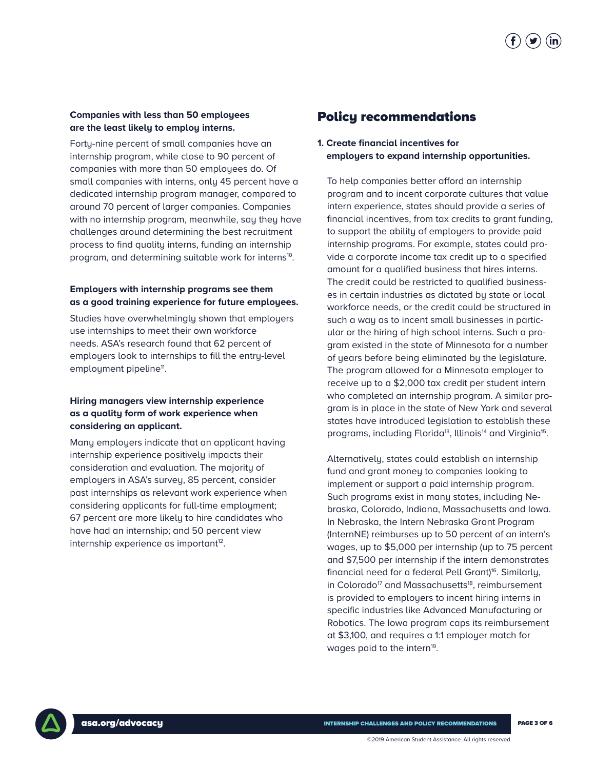#### **Companies with less than 50 employees are the least likely to employ interns.**

Forty-nine percent of small companies have an internship program, while close to 90 percent of companies with more than 50 employees do. Of small companies with interns, only 45 percent have a dedicated internship program manager, compared to around 70 percent of larger companies. Companies with no internship program, meanwhile, say they have challenges around determining the best recruitment process to find quality interns, funding an internship program, and determining suitable work for interns<sup>10</sup>.

#### **Employers with internship programs see them as a good training experience for future employees.**

Studies have overwhelmingly shown that employers use internships to meet their own workforce needs. ASA's research found that 62 percent of employers look to internships to fill the entry-level employment pipeline<sup>11</sup>.

#### **Hiring managers view internship experience as a quality form of work experience when considering an applicant.**

Many employers indicate that an applicant having internship experience positively impacts their consideration and evaluation. The majority of employers in ASA's survey, 85 percent, consider past internships as relevant work experience when considering applicants for full-time employment; 67 percent are more likely to hire candidates who have had an internship; and 50 percent view internship experience as important<sup>12</sup>.

## Policy recommendations

**1. Create financial incentives for employers to expand internship opportunities.**

To help companies better afford an internship program and to incent corporate cultures that value intern experience, states should provide a series of financial incentives, from tax credits to grant funding, to support the ability of employers to provide paid internship programs. For example, states could provide a corporate income tax credit up to a specified amount for a qualified business that hires interns. The credit could be restricted to qualified businesses in certain industries as dictated by state or local workforce needs, or the credit could be structured in such a way as to incent small businesses in particular or the hiring of high school interns. Such a program existed in the state of Minnesota for a number of years before being eliminated by the legislature. The program allowed for a Minnesota employer to receive up to a \$2,000 tax credit per student intern who completed an internship program. A similar program is in place in the state of New York and several states have introduced legislation to establish these programs, including Florida<sup>13</sup>, Illinois<sup>14</sup> and Virginia<sup>15</sup>.

Alternatively, states could establish an internship fund and arant moneu to companies looking to implement or support a paid internship program. Such programs exist in many states, including Nebraska, Colorado, Indiana, Massachusetts and Iowa. In Nebraska, the Intern Nebraska Grant Program (InternNE) reimburses up to 50 percent of an intern's wages, up to \$5,000 per internship (up to 75 percent and \$7,500 per internship if the intern demonstrates financial need for a federal Pell Grant)<sup>16</sup>. Similarly, in Colorado<sup>17</sup> and Massachusetts<sup>18</sup>, reimbursement is provided to employers to incent hiring interns in specific industries like Advanced Manufacturing or Robotics. The Iowa program caps its reimbursement at \$3,100, and requires a 1:1 employer match for wages paid to the intern<sup>19</sup>.

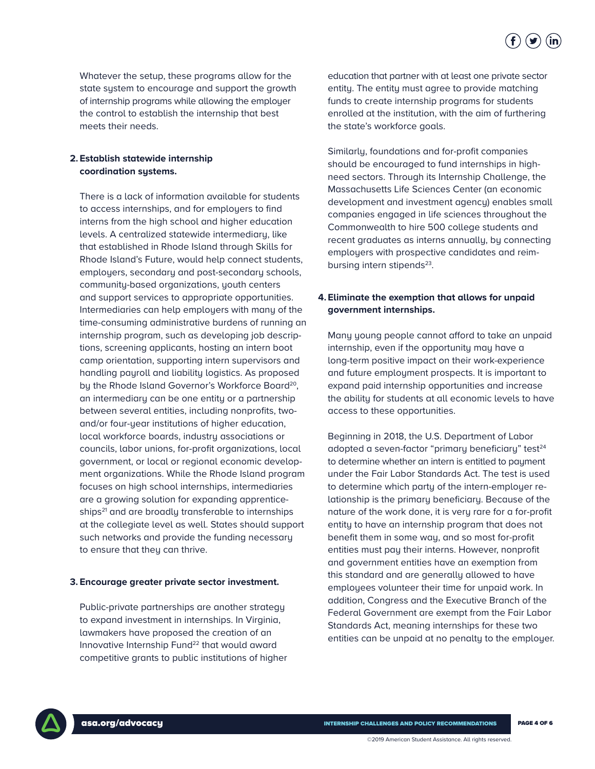

 Whatever the setup, these programs allow for the state system to encourage and support the growth of internship programs while allowing the employer the control to establish the internship that best meets their needs.

#### **2. Establish statewide internship coordination systems.**

 There is a lack of information available for students to access internships, and for employers to find interns from the high school and higher education levels. A centralized statewide intermediary, like that established in Rhode Island through Skills for Rhode Island's Future, would help connect students, employers, secondary and post-secondary schools, community-based organizations, youth centers and support services to appropriate opportunities. Intermediaries can help employers with many of the time-consuming administrative burdens of running an internship program, such as developing job descriptions, screening applicants, hosting an intern boot camp orientation, supporting intern supervisors and handling payroll and liability logistics. As proposed by the Rhode Island Governor's Workforce Board<sup>20</sup>, an intermediary can be one entity or a partnership between several entities, including nonprofits, twoand/or four-year institutions of higher education, local workforce boards, industry associations or councils, labor unions, for-profit organizations, local government, or local or regional economic development organizations. While the Rhode Island program focuses on high school internships, intermediaries are a growing solution for expanding apprenticeships<sup>21</sup> and are broadly transferable to internships at the collegiate level as well. States should support such networks and provide the funding necessary to ensure that they can thrive.

#### **3. Encourage greater private sector investment.**

 Public-private partnerships are another strategy to expand investment in internships. In Virginia, lawmakers have proposed the creation of an Innovative Internship Fund<sup>22</sup> that would award competitive grants to public institutions of higher  education that partner with at least one private sector entity. The entity must agree to provide matching funds to create internship programs for students enrolled at the institution, with the aim of furthering the state's workforce goals.

 Similarly, foundations and for-profit companies should be encouraged to fund internships in highneed sectors. Through its Internship Challenge, the Massachusetts Life Sciences Center (an economic development and investment agency) enables small companies engaged in life sciences throughout the Commonwealth to hire 500 college students and recent graduates as interns annually, by connecting employers with prospective candidates and reimbursing intern stipends<sup>23</sup>.

#### **4. Eliminate the exemption that allows for unpaid government internships.**

 Many young people cannot afford to take an unpaid internship, even if the opportunity may have a long-term positive impact on their work-experience and future employment prospects. It is important to expand paid internship opportunities and increase the ability for students at all economic levels to have access to these opportunities.

 Beginning in 2018, the U.S. Department of Labor adopted a seven-factor "primary beneficiary" test<sup>24</sup> to determine whether an intern is entitled to payment under the Fair Labor Standards Act. The test is used to determine which party of the intern-employer relationship is the primary beneficiary. Because of the nature of the work done, it is very rare for a for-profit entity to have an internship program that does not benefit them in some way, and so most for-profit entities must pay their interns. However, nonprofit and government entities have an exemption from this standard and are generally allowed to have employees volunteer their time for unpaid work. In addition, Congress and the Executive Branch of the Federal Government are exempt from the Fair Labor Standards Act, meaning internships for these two entities can be unpaid at no penalty to the employer.

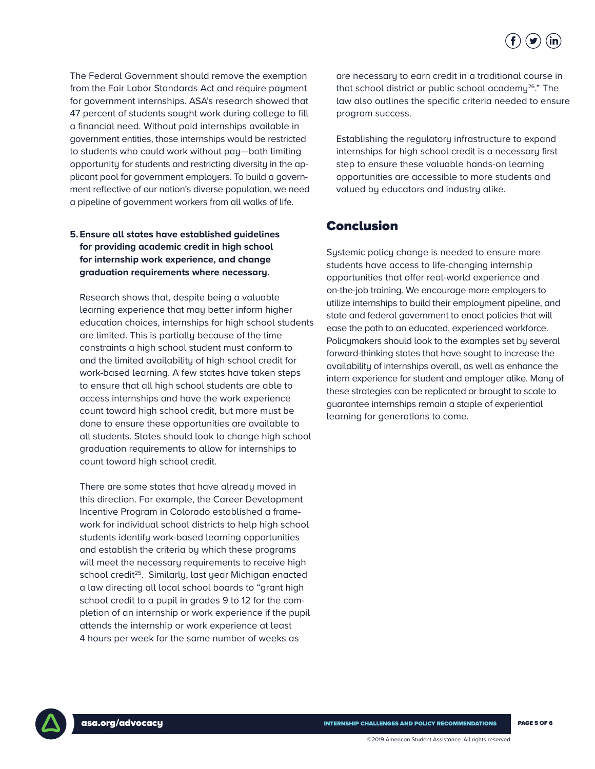

The Federal Government should remove the exemption from the Fair Labor Standards Act and require payment for government internships. ASA's research showed that 47 percent of students sought work during college to fill a financial need. Without paid internships available in government entities, those internships would be restricted to students who could work without pay—both limiting opportunity for students and restricting diversity in the applicant pool for government employers. To build a government reflective of our nation's diverse population, we need a pipeline of government workers from all walks of life.

### **5. Ensure all states have established guidelines for providing academic credit in high school for internship work experience, and change graduation requirements where necessary.**

Research shows that, despite being a valuable learning experience that may better inform higher education choices, internships for high school students are limited. This is partially because of the time constraints a high school student must conform to and the limited availability of high school credit for work-based learning. A few states have taken steps to ensure that all high school students are able to access internships and have the work experience count toward high school credit, but more must be done to ensure these opportunities are available to all students. States should look to change high school graduation requirements to allow for internships to count toward high school credit.

 There are some states that have already moved in this direction. For example, the Career Development Incentive Program in Colorado established a framework for individual school districts to help high school students identify work-based learning opportunities and establish the criteria by which these programs will meet the necessary requirements to receive high school credit<sup>25</sup>. Similarly, last year Michigan enacted a law directing all local school boards to "grant high school credit to a pupil in grades 9 to 12 for the completion of an internship or work experience if the pupil attends the internship or work experience at least 4 hours per week for the same number of weeks as

are necessary to earn credit in a traditional course in that school district or public school academy<sup>26</sup>." The law also outlines the specific criteria needed to ensure program success.

 Establishing the regulatory infrastructure to expand internships for high school credit is a necessary first step to ensure these valuable hands-on learning opportunities are accessible to more students and valued by educators and industry alike.

## Conclusion

Systemic policy change is needed to ensure more students have access to life-changing internship opportunities that offer real-world experience and on-the-job training. We encourage more employers to utilize internships to build their employment pipeline, and state and federal government to enact policies that will ease the path to an educated, experienced workforce. Policymakers should look to the examples set by several forward-thinking states that have sought to increase the availability of internships overall, as well as enhance the intern experience for student and employer alike. Many of these strategies can be replicated or brought to scale to guarantee internships remain a staple of experiential learning for generations to come.